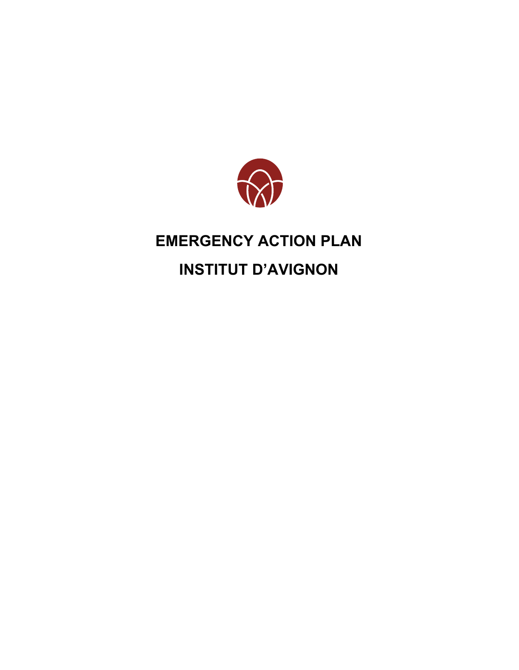

# **EMERGENCY ACTION PLAN**

# **INSTITUT D'AVIGNON**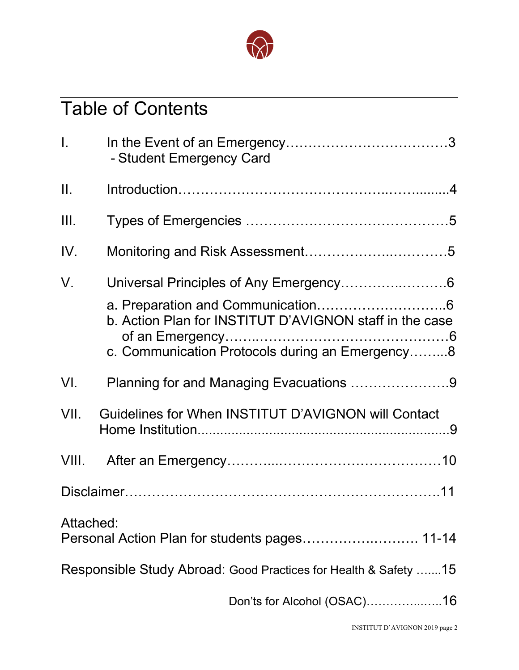

# Table of Contents

| $\mathbf{L}$ | - Student Emergency Card                                        |
|--------------|-----------------------------------------------------------------|
| II.          |                                                                 |
| III.         |                                                                 |
| IV.          |                                                                 |
| V.           | b. Action Plan for INSTITUT D'AVIGNON staff in the case         |
|              | c. Communication Protocols during an Emergency8                 |
| VI.          | Planning for and Managing Evacuations 9                         |
| VII.         | Guidelines for When INSTITUT D'AVIGNON will Contact             |
| VIII.        |                                                                 |
|              |                                                                 |
| Attached:    | Personal Action Plan for students pages 11-14                   |
|              | Responsible Study Abroad: Good Practices for Health & Safety 15 |
|              | Don'ts for Alcohol (OSAC)16                                     |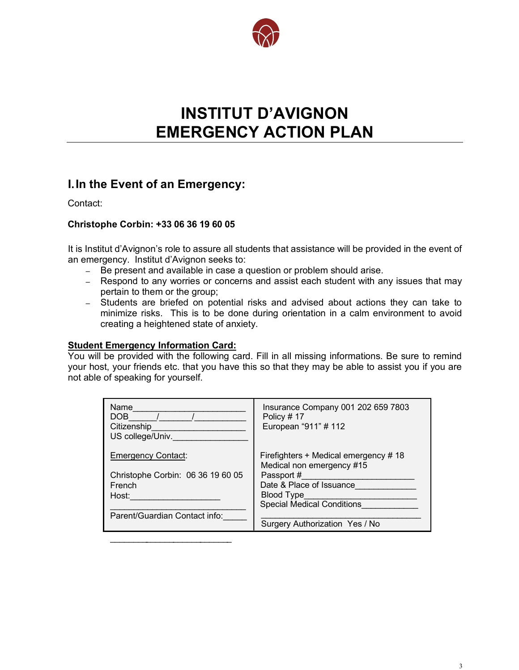

# **INSTITUT D'AVIGNON EMERGENCY ACTION PLAN**

# **a a a a a a a a a a I.In the Event of an Emergency:**

Contact:

# **Christophe Corbin: +33 06 36 19 60 05**

It is Institut d'Avignon's role to assure all students that assistance will be provided in the event of an emergency. Institut d'Avignon seeks to:

- *–* Be present and available in case a question or problem should arise.
- *–* Respond to any worries or concerns and assist each student with any issues that may pertain to them or the group;
- $\mathsf{W}$  reproduced the logotype for print on colored the logotype for  $\mathsf{W}$ *–* Students are briefed on potential risks and advised about actions they can take to minimize risks. This is to be done during orientation in a calm environment to avoid creating a heightened state of anxiety.

# **Student Emergency Information Card:**

\_\_\_\_\_\_\_\_

\_\_\_\_\_\_\_\_\_\_\_\_

\_\_\_\_\_\_

 $\mathcal{L}$ 

You will be provided with the following card. Fill in all missing informations. Be sure to remind your host, your friends etc. that you have this so that they may be able to assist you if you are not able of speaking for yourself.

| Name<br>DOB<br>Citizenship<br>US college/Univ. | Insurance Company 001 202 659 7803<br>Policy #17<br>European "911" # 112 |
|------------------------------------------------|--------------------------------------------------------------------------|
| <b>Emergency Contact:</b>                      | Firefighters + Medical emergency #18<br>Medical non emergency #15        |
| Christophe Corbin: 06 36 19 60 05              | Passport #                                                               |
| French                                         | Date & Place of Issuance                                                 |
| Host:                                          | Blood Type                                                               |
|                                                | <b>Special Medical Conditions</b>                                        |
| Parent/Guardian Contact info:                  |                                                                          |
|                                                | Surgery Authorization Yes / No                                           |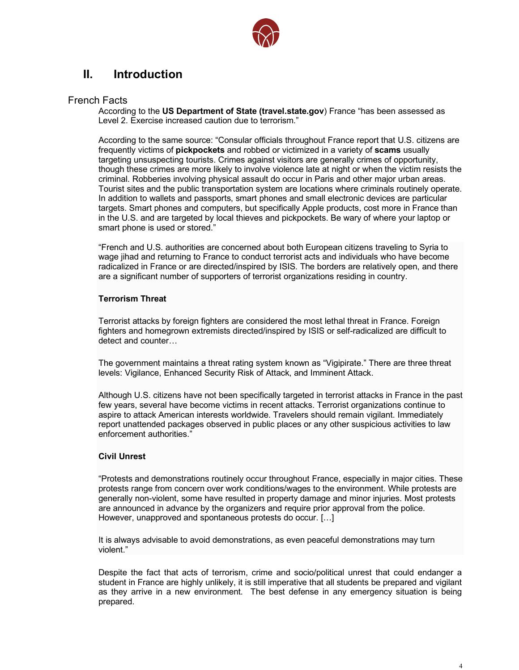

# **II. Introduction**

## French Facts

According to the US Department of State (travel.state.gov) France "has been assessed as Level 2. Exercise increased caution due to terrorism."

Largeling disaspecting tourists. Offices against visitors are generally crimes or opportunity,<br>though these crimes are more likely to involve violence late at night or when the victim resists the<br>eripsinal. Behberies invol I ourist sites and the public transportation system are locations where criminals routinely opera<br>In addition to wallets and passports, smart phones and small electronic devices are particular According to the same source: "Consular officials throughout France report that U.S. citizens are frequently victims of **pickpockets** and robbed or victimized in a variety of **scams** usually targeting unsuspecting tourists. Crimes against visitors are generally crimes of opportunity, criminal. Robberies involving physical assault do occur in Paris and other major urban areas. Tourist sites and the public transportation system are locations where criminals routinely operate. targets. Smart phones and computers, but specifically Apple products, cost more in France than in the U.S. and are targeted by local thieves and pickpockets. Be wary of where your laptop or smart phone is used or stored."

"French and U.S. authorities are concerned about both European citizens traveling to Syria to wage jihad and returning to France to conduct terrorist acts and individuals who have become radicalized in France or are directed/inspired by ISIS. The borders are relatively open, and there are a significant number of supporters of terrorist organizations residing in country.

## **Terrorism Threat**

Terrorist attacks by foreign fighters are considered the most lethal threat in France. Foreign fighters and homegrown extremists directed/inspired by ISIS or self-radicalized are difficult to detect and counter…

The government maintains a threat rating system known as "Vigipirate." There are three threat levels: Vigilance, Enhanced Security Risk of Attack, and Imminent Attack.

Although U.S. citizens have not been specifically targeted in terrorist attacks in France in the past few years, several have become victims in recent attacks. Terrorist organizations continue to aspire to attack American interests worldwide. Travelers should remain vigilant. Immediately report unattended packages observed in public places or any other suspicious activities to law enforcement authorities."

## **Civil Unrest**

"Protests and demonstrations routinely occur throughout France, especially in major cities. These protests range from concern over work conditions/wages to the environment. While protests are generally non-violent, some have resulted in property damage and minor injuries. Most protests are announced in advance by the organizers and require prior approval from the police. However, unapproved and spontaneous protests do occur. […]

It is always advisable to avoid demonstrations, as even peaceful demonstrations may turn violent."

Despite the fact that acts of terrorism, crime and socio/political unrest that could endanger a student in France are highly unlikely, it is still imperative that all students be prepared and vigilant as they arrive in a new environment. The best defense in any emergency situation is being prepared.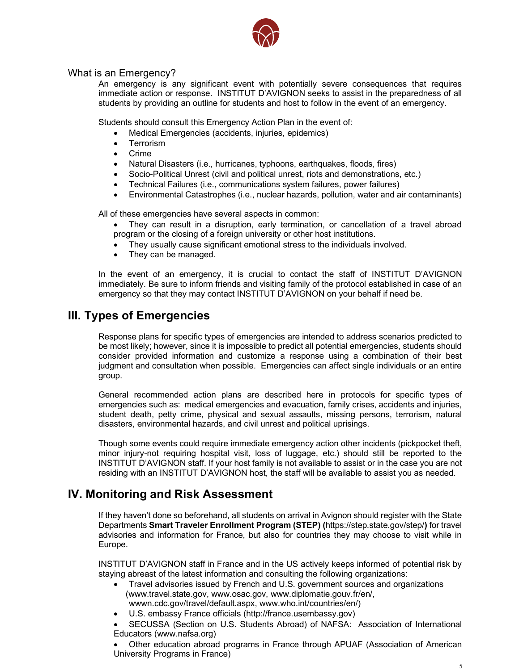

# What is an Emergency?

An emergency is any significant event with potentially severe consequences that requires immediate action or response. INSTITUT D'AVIGNON seeks to assist in the preparedness of all students by providing an outline for students and host to follow in the event of an emergency.

Students should consult this Emergency Action Plan in the event of:

- Medical Emergencies (accidents, injuries, epidemics)
- **Terrorism**
- **Crime**
- Natural Disasters (i.e., hurricanes, typhoons, earthquakes, floods, fires)
- Natural Disasters (i.e., hurricanes, typhoons, earthquakes, floods, fires)<br>● Socio-Political Unrest (civil and political unrest, riots and demonstrations, etc.)
- Technical Failures (i.e., communications system failures, power failures)
- **and White** Environmental Catastrophes (i.e., nuclear hazards, pollution, water and air contaminants)

All of these emergencies have several aspects in common:

- They can result in a disruption, early termination, or cancellation of a travel abroad program or the closing of a foreign university or other host institutions.
- They usually cause significant emotional stress to the individuals involved.
- They can be managed.

In the event of an emergency, it is crucial to contact the staff of INSTITUT D'AVIGNON immediately. Be sure to inform friends and visiting family of the protocol established in case of an emergency so that they may contact INSTITUT D'AVIGNON on your behalf if need be.

# **III. Types of Emergencies**

Response plans for specific types of emergencies are intended to address scenarios predicted to be most likely; however, since it is impossible to predict all potential emergencies, students should consider provided information and customize a response using a combination of their best judgment and consultation when possible. Emergencies can affect single individuals or an entire group.

General recommended action plans are described here in protocols for specific types of emergencies such as: medical emergencies and evacuation, family crises, accidents and injuries, student death, petty crime, physical and sexual assaults, missing persons, terrorism, natural disasters, environmental hazards, and civil unrest and political uprisings.

Though some events could require immediate emergency action other incidents (pickpocket theft, minor injury-not requiring hospital visit, loss of luggage, etc.) should still be reported to the INSTITUT D'AVIGNON staff. If your host family is not available to assist or in the case you are not residing with an INSTITUT D'AVIGNON host, the staff will be available to assist you as needed.

# **IV. Monitoring and Risk Assessment**

If they haven't done so beforehand, all students on arrival in Avignon should register with the State Departments **Smart Traveler Enrollment Program (STEP) (**https://step.state.gov/step/**)** for travel advisories and information for France, but also for countries they may choose to visit while in Europe.

INSTITUT D'AVIGNON staff in France and in the US actively keeps informed of potential risk by staying abreast of the latest information and consulting the following organizations:

- Travel advisories issued by French and U.S. government sources and organizations (www.travel.state.gov, www.osac.gov, www.diplomatie.gouv.fr/en/, wwwn.cdc.gov/travel/default.aspx, www.who.int/countries/en/)
	- U.S. embassy France officials (http://france.usembassy.gov)
- SECUSSA (Section on U.S. Students Abroad) of NAFSA: Association of International Educators (www.nafsa.org)

• Other education abroad programs in France through APUAF (Association of American University Programs in France)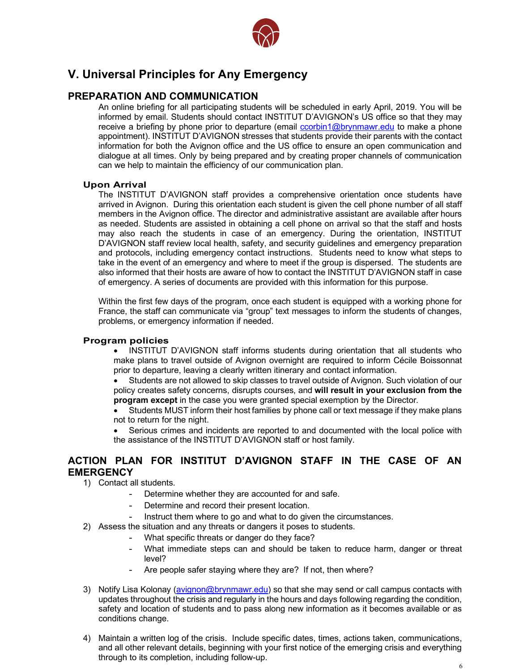

# **V. Universal Principles for Any Emergency**

# **PREPARATION AND COMMUNICATION**

can we help to maintain the efficiency of our communication plan. informed by email. Students should contact INSTITUT D'AVIGNON's US office so that they may An online briefing for all participating students will be scheduled in early April, 2019. You will be receive a briefing by phone prior to departure (email ccorbin1@brynmawr.edu to make a phone appointment). INSTITUT D'AVIGNON stresses that students provide their parents with the contact information for both the Avignon office and the US office to ensure an open communication and dialogue at all times. Only by being prepared and by creating proper channels of communication

## **Upon Arrival**

**and White**<br>The INSTITUT D'AVIGNON staff provides a comprehensive orientation once students have<br>arrived in Avignon, During this gripptation onch student is given the cell phane number of all staff arrived in Avignon. During this orientation each student is given the cell phone number of all staff members in the Avignon office. The director and administrative assistant are available after hours as needed. Students are assisted in obtaining a cell phone on arrival so that the staff and hosts may also reach the students in case of an emergency. During the orientation, INSTITUT D'AVIGNON staff review local health, safety, and security guidelines and emergency preparation and protocols, including emergency contact instructions. Students need to know what steps to take in the event of an emergency and where to meet if the group is dispersed. The students are also informed that their hosts are aware of how to contact the INSTITUT D'AVIGNON staff in case of emergency. A series of documents are provided with this information for this purpose.

problems, or emergency information if needed. Within the first few days of the program, once each student is equipped with a working phone for France, the staff can communicate via "group" text messages to inform the students of changes,

## **Program policies**

- INSTITUT D'AVIGNON staff informs students during orientation that all students who make plans to travel outside of Avignon overnight are required to inform Cécile Boissonnat prior to departure, leaving a clearly written itinerary and contact information.
- policy creates safety concerns, disrupts courses, and will result in your exclusion from the • Students are not allowed to skip classes to travel outside of Avignon. Such violation of our **program except** in the case you were granted special exemption by the Director.
- Students MUST inform their host families by phone call or text message if they make plans not to return for the night.
- Serious crimes and incidents are reported to and documented with the local police with the assistance of the INSTITUT D'AVIGNON staff or host family.

# **ACTION PLAN FOR INSTITUT D'AVIGNON STAFF IN THE CASE OF AN EMERGENCY**

- 1) Contact all students.
	- Determine whether they are accounted for and safe.
	- Determine and record their present location.
	- Instruct them where to go and what to do given the circumstances.
- 2) Assess the situation and any threats or dangers it poses to students.
	- What specific threats or danger do they face?
	- What immediate steps can and should be taken to reduce harm, danger or threat level?
	- Are people safer staying where they are? If not, then where?
- 3) Notify Lisa Kolonay (avignon@brynmawr.edu) so that she may send or call campus contacts with updates throughout the crisis and regularly in the hours and days following regarding the condition, safety and location of students and to pass along new information as it becomes available or as conditions change.
- 4) Maintain a written log of the crisis. Include specific dates, times, actions taken, communications, and all other relevant details, beginning with your first notice of the emerging crisis and everything through to its completion, including follow-up.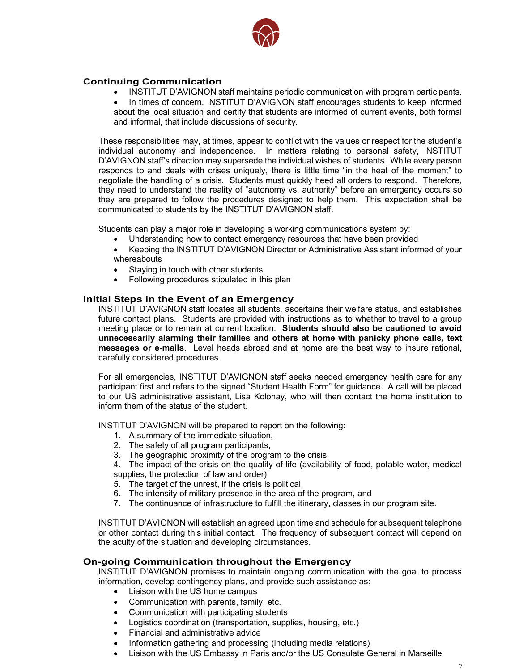

## **Continuing Communication**

- INSTITUT D'AVIGNON staff maintains periodic communication with program participants.
- about the local situation and certify that students are informed of current events, both formal • In times of concern, INSTITUT D'AVIGNON staff encourages students to keep informed and informal, that include discussions of security.

Local Reduction State is all ecolor may supersede the individual wishes of students. While every person<br>responds to and deals with crises uniquely, there is little time "in the heat of the moment" to they need to understand the reality of "autonomy vs. authority" before an emergency occurs so<br>they are prepared to follow the procedures designed to help them. This expectation shall be These responsibilities may, at times, appear to conflict with the values or respect for the student's individual autonomy and independence. In matters relating to personal safety, INSTITUT D'AVIGNON staff's direction may supersede the individual wishes of students. While every person negotiate the handling of a crisis. Students must quickly heed all orders to respond. Therefore, they need to understand the reality of "autonomy vs. authority" before an emergency occurs so communicated to students by the INSTITUT D'AVIGNON staff.

Students can play a major role in developing a working communications system by:

- Understanding how to contact emergency resources that have been provided
- Keeping the INSTITUT D'AVIGNON Director or Administrative Assistant informed of your whereabouts
- Staying in touch with other students
- Following procedures stipulated in this plan

#### **Initial Steps in the Event of an Emergency**

future contact plans. Students are provided with instructions as to whether to travel to a group mooding place of to formally at carrent receased. **Creations create are to carrieries to avoid unnecessarily alarming their families and others at home with panicky phone calls, text** messages or e-mails. Level heads abroad and at home are the best way to insure rational, INSTITUT D'AVIGNON staff locates all students, ascertains their welfare status, and establishes meeting place or to remain at current location. **Students should also be cautioned to avoid**  carefully considered procedures.

participant first and refers to the signed "Student Health Form" for guidance. A call will be placed<br>the sumble educinistative excitent this Kelancy who will then contact the hange institution to For all emergencies, INSTITUT D'AVIGNON staff seeks needed emergency health care for any to our US administrative assistant, Lisa Kolonay, who will then contact the home institution to inform them of the status of the student.

INSTITUT D'AVIGNON will be prepared to report on the following:

- 1. A summary of the immediate situation,
- 2. The safety of all program participants,
- 3. The geographic proximity of the program to the crisis,

4. The impact of the crisis on the quality of life (availability of food, potable water, medical supplies, the protection of law and order),

- 5. The target of the unrest, if the crisis is political,
- 6. The intensity of military presence in the area of the program, and
- 7. The continuance of infrastructure to fulfill the itinerary, classes in our program site.

INSTITUT D'AVIGNON will establish an agreed upon time and schedule for subsequent telephone or other contact during this initial contact. The frequency of subsequent contact will depend on the acuity of the situation and developing circumstances.

#### **On-going Communication throughout the Emergency**

INSTITUT D'AVIGNON promises to maintain ongoing communication with the goal to process information, develop contingency plans, and provide such assistance as:

- Liaison with the US home campus
- Communication with parents, family, etc.
- Communication with participating students
- Logistics coordination (transportation, supplies, housing, etc.)
- Financial and administrative advice
- Information gathering and processing (including media relations)
- Liaison with the US Embassy in Paris and/or the US Consulate General in Marseille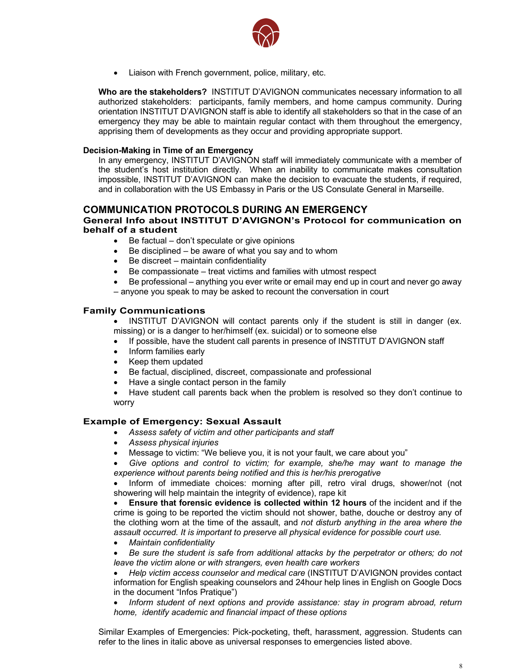

• Liaison with French government, police, military, etc.

orientation INSTITUT D'AVIGNON staff is able to identify all stakeholders so that in the case of an **Who are the stakeholders?** INSTITUT D'AVIGNON communicates necessary information to all authorized stakeholders: participants, family members, and home campus community. During emergency they may be able to maintain regular contact with them throughout the emergency, apprising them of developments as they occur and providing appropriate support.

#### **Decision-Making in Time of an Emergency**

In any emergency, institution directly. When an inability to communicate makes consultation<br>the student's host institution directly. When an inability to communicate makes consultation and in collaboration with the US Embassy in Paris or the US Consulate General in Marseille.<br> In any emergency, INSTITUT D'AVIGNON staff will immediately communicate with a member of impossible, INSTITUT D'AVIGNON can make the decision to evacuate the students, if required,

# **COMMUNICATION PROTOCOLS DURING AN EMERGENCY**

#### **General Info about INSTITUT D'AVIGNON's Protocol for communication on behalf of a student**

- Be factual don't speculate or give opinions
- Be disciplined be aware of what you say and to whom
- Be discreet maintain confidentiality
- Be compassionate treat victims and families with utmost respect
- Be professional anything you ever write or email may end up in court and never go away – anyone you speak to may be asked to recount the conversation in court

#### **Family Communications**

• INSTITUT D'AVIGNON will contact parents only if the student is still in danger (ex.  $\mathcal{B}$ en (ex. Suicidar) or to someone eise missing) or is a danger to her/himself (ex. suicidal) or to someone else

- If possible, have the student call parents in presence of INSTITUT D'AVIGNON staff<br>continue formities cortu
- Inform families early
- Keep them updated
- Be factual, disciplined, discreet, compassionate and professional
- Have a single contact person in the family
- Have student call parents back when the problem is resolved so they don't continue to worry

#### **Example of Emergency: Sexual Assault**

- *Assess safety of victim and other participants and staff*
- *Assess physical injuries*
- Message to victim: "We believe you, it is not your fault, we care about you"
- *Give options and control to victim; for example, she/he may want to manage the experience without parents being notified and this is her/his prerogative*

• Inform of immediate choices: morning after pill, retro viral drugs, shower/not (not showering will help maintain the integrity of evidence), rape kit

• **Ensure that forensic evidence is collected within 12 hours** of the incident and if the crime is going to be reported the victim should not shower, bathe, douche or destroy any of the clothing worn at the time of the assault, and *not disturb anything in the area where the assault occurred. It is important to preserve all physical evidence for possible court use.*

• *Maintain confidentiality*

• *Be sure the student is safe from additional attacks by the perpetrator or others; do not leave the victim alone or with strangers, even health care workers*

• *Help victim access counselor and medical care* (INSTITUT D'AVIGNON provides contact information for English speaking counselors and 24hour help lines in English on Google Docs in the document "Infos Pratique")

• *Inform student of next options and provide assistance: stay in program abroad, return home, identify academic and financial impact of these options*

Similar Examples of Emergencies: Pick-pocketing, theft, harassment, aggression. Students can refer to the lines in italic above as universal responses to emergencies listed above.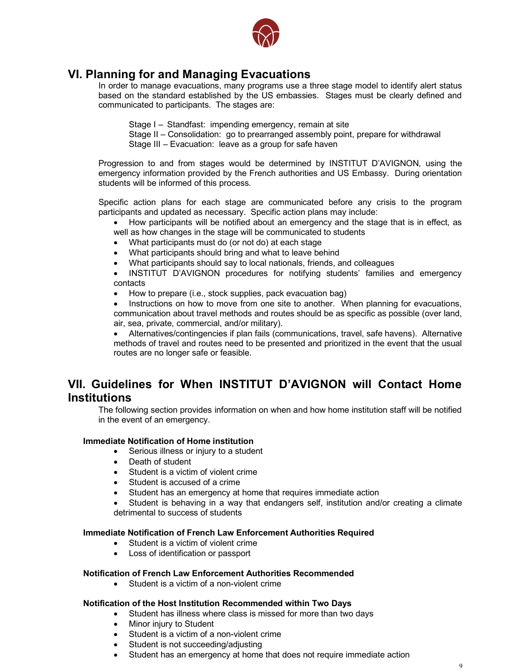

# **VI. Planning for and Managing Evacuations**

In order to manage evacuations, many programs use a three stage model to identify alert status based on the standard established by the US embassies. Stages must be clearly defined and communicated to participants. The stages are:

- Stage I Standfast: impending emergency, remain at site
- Stage II Consolidation: go to prearranged assembly point, prepare for withdrawal Stage III – Evacuation: leave as a group for safe haven

Progression to and from stages would be determined by INSTITUT D'AVIGNON, using the<br>emergency information provided by the French authorities and US Embassy. During orientation Progression to and from stages would be determined by INSTITUT D'AVIGNON, using the students will be informed of this process.

**and White** Specific action plans for each stage are communicated before any crisis to the program participants and updated as necessary. Specific action plans may include:

- How participants will be notified about an emergency and the stage that is in effect, as well as how changes in the stage will be communicated to students
- What participants must do (or not do) at each stage
- What participants should bring and what to leave behind
- What participants should say to local nationals, friends, and colleagues

• INSTITUT D'AVIGNON procedures for notifying students' families and emergency contacts

• How to prepare (i.e., stock supplies, pack evacuation bag)

air, sea, private, commercial, and/or military). Instructions on how to move from one site to another. When planning for evacuations, communication about travel methods and routes should be as specific as possible (over land,

• Alternatives/contingencies if plan fails (communications, travel, safe havens). Alternative methods of travel and routes need to be presented and prioritized in the event that the usual routes are no longer safe or feasible.

# **VII. Guidelines for When INSTITUT D'AVIGNON will Contact Home**  $\frac{1}{2}$ **Institutions**

The following section provides information on when and how home institution staff will be notified in the event of an emergency.

## **Immediate Notification of Home institution**

- Serious illness or injury to a student
- Death of student
- Student is a victim of violent crime
- Student is accused of a crime
- Student has an emergency at home that requires immediate action

Student is behaving in a way that endangers self, institution and/or creating a climate detrimental to success of students

#### **Immediate Notification of French Law Enforcement Authorities Required**

- Student is a victim of violent crime
- Loss of identification or passport

#### **Notification of French Law Enforcement Authorities Recommended**

• Student is a victim of a non-violent crime

#### **Notification of the Host Institution Recommended within Two Days**

- Student has illness where class is missed for more than two days
- Minor injury to Student
- Student is a victim of a non-violent crime
- Student is not succeeding/adjusting
- Student has an emergency at home that does not require immediate action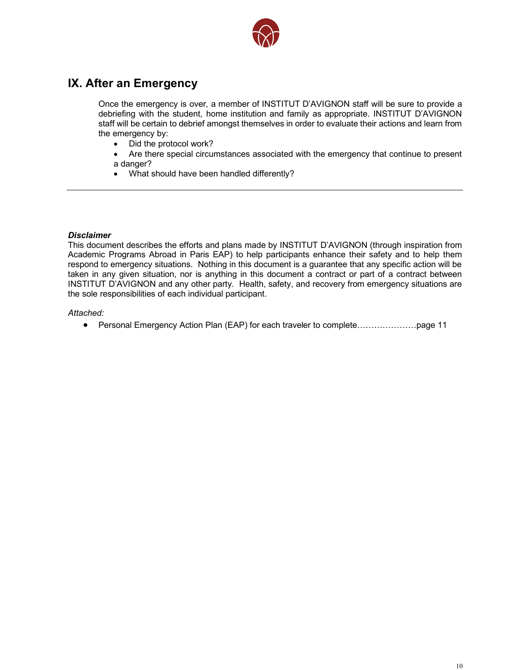

# **IX. After an Emergency**

debriefing with the student, home institution and family as appropriate. INSTITUT D'AVIGNON Once the emergency is over, a member of INSTITUT D'AVIGNON staff will be sure to provide a staff will be certain to debrief amongst themselves in order to evaluate their actions and learn from the emergency by:

**and Whiteen White** 

- Did the protocol work?
- a danger?<br>● What should have been handled differently? • Are there special circumstances associated with the emergency that continue to present a danger?
- 

#### *Disclaimer*

This document describes the efforts and plans made by INSTITUT D'AVIGNON (through inspiration from Academic Programs Abroad in Paris EAP) to help participants enhance their safety and to help them respond to emergency situations. Nothing in this document is a guarantee that any specific action will be taken in any given situation, nor is anything in this document a contract or part of a contract between INSTITUT D'AVIGNON and any other party. Health, safety, and recovery from emergency situations are the sole responsibilities of each individual participant.

#### *Attached:*

• Personal Emergency Action Plan (EAP) for each traveler to complete…………………page 11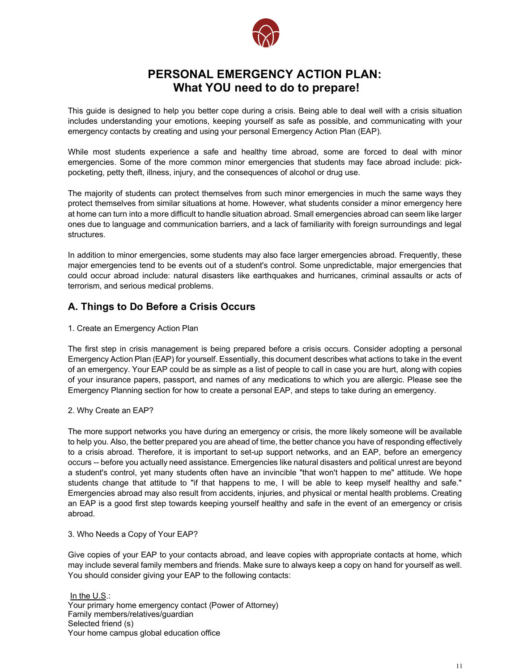

# **PERSONAL EMERGENCY ACTION PLAN: What YOU need to do to prepare!**

This guide is designed to help you better cope during a crisis. Being able to deal well with a crisis situation includes understanding your emotions, keeping yourself as safe as possible, and communicating with your emergency contacts by creating and using your personal Emergency Action Plan (EAP).

emergencies. Some ot the more common minor emergencies that students may face<br>pocketing, petty theft, illness, injury, and the consequences of alcohol or drug use. While most students experience a safe and healthy time abroad, some are forced to deal with minor emergencies. Some of the more common minor emergencies that students may face abroad include: pick-

The majority of students can protect themselves from such minor emergencies in much the same ways they<br>protect themselves from similar situations at home. However, what students consider a minor emergency here protect themselves from similar situations at home. However, what students consider a minor emergency here at home can turn into a more difficult to handle situation abroad. Small emergencies abroad can seem like larger ones due to language and communication barriers, and a lack of familiarity with foreign surroundings and legal structures.

In addition to minor emergencies, some students may also face larger emergencies abroad. Frequently, these major emergencies tend to be events out of a student's control. Some unpredictable, major emergencies that could occur abroad include: natural disasters like earthquakes and hurricanes, criminal assaults or acts of terrorism, and serious medical problems.

# **A. Things to Do Before a Crisis Occurs**

1. Create an Emergency Action Plan

The first step in crisis management is being prepared before a crisis occurs. Consider adopting a personal Emergency Planning section for how to create a personal EAP, and steps to take during an emergency. Emergency Action Plan (EAP) for yourself. Essentially, this document describes what actions to take in the event of an emergency. Your EAP could be as simple as a list of people to call in case you are hurt, along with copies of your insurance papers, passport, and names of any medications to which you are allergic. Please see the

#### 2. Why Create an EAP?

The more support networks you have during an emergency or crisis, the more likely someone will be available to help you. Also, the better prepared you are ahead of time, the better chance you have of responding effectively to a crisis abroad. Therefore, it is important to set-up support networks, and an EAP, before an emergency occurs -- before you actually need assistance. Emergencies like natural disasters and political unrest are beyond a student's control, yet many students often have an invincible "that won't happen to me" attitude. We hope students change that attitude to "if that happens to me, I will be able to keep myself healthy and safe." Emergencies abroad may also result from accidents, injuries, and physical or mental health problems. Creating an EAP is a good first step towards keeping yourself healthy and safe in the event of an emergency or crisis abroad.

#### 3. Who Needs a Copy of Your EAP?

Give copies of your EAP to your contacts abroad, and leave copies with appropriate contacts at home, which may include several family members and friends. Make sure to always keep a copy on hand for yourself as well. You should consider giving your EAP to the following contacts:

In the U.S.: Your primary home emergency contact (Power of Attorney) Family members/relatives/guardian Selected friend (s) Your home campus global education office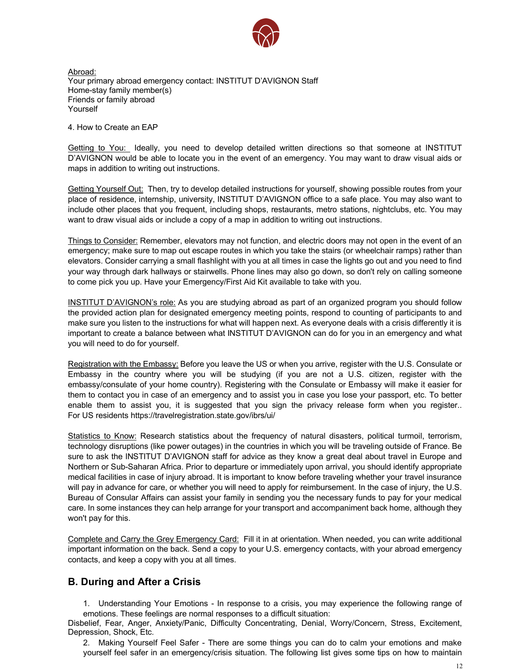

Abroad: Your primary abroad emergency contact: INSTITUT D'AVIGNON Staff Home-stay family member(s) Friends or family abroad Yourself

4. How to Create an EAP

**Logotype in the contract of the contract of the contract of the contract of the contract of the contract of the contract of the contract of the contract of the contract of the contract of the contract of the contract of t** Getting to You: Ideally, you need to develop detailed written directions so that someone at INSTITUT D'AVIGNON would be able to locate you in the event of an emergency. You may want to draw visual aids or maps in addition to writing out instructions.

<u>Getting Yourself Out:</u> Then, try to develop detailed instructions for yourself, showing possible routes from your<br>place of residence, internship, university, INSTITUT D'AVIGNON office to a safe place. You may also want t Getting Yourself Out: Then, try to develop detailed instructions for yourself, showing possible routes from your include other places that you frequent, including shops, restaurants, metro stations, nightclubs, etc. You may want to draw visual aids or include a copy of a map in addition to writing out instructions.

Things to Consider: Remember, elevators may not function, and electric doors may not open in the event of an emergency; make sure to map out escape routes in which you take the stairs (or wheelchair ramps) rather than elevators. Consider carrying a small flashlight with you at all times in case the lights go out and you need to find your way through dark hallways or stairwells. Phone lines may also go down, so don't rely on calling someone to come pick you up. Have your Emergency/First Aid Kit available to take with you.

make sure you listen to the instructions for what will happen next. As everyone deals with a crisis differently it is important to create a balance between what INSTITUT D'AVIGNON can do for you in an emergency and what INSTITUT D'AVIGNON's role: As you are studying abroad as part of an organized program you should follow the provided action plan for designated emergency meeting points, respond to counting of participants to and you will need to do for yourself.

Initially, contact you in case of an emergency and to assist you in case you lose your passport, etc. To better Registration with the Embassy: Before you leave the US or when you arrive, register with the U.S. Consulate or Embassy in the country where you will be studying (if you are not a U.S. citizen, register with the embassy/consulate of your home country). Registering with the Consulate or Embassy will make it easier for enable them to assist you, it is suggested that you sign the privacy release form when you register.. For US residents https://travelregistration.state.gov/ibrs/ui/

Statistics to Know: Research statistics about the frequency of natural disasters, political turmoil, terrorism, technology disruptions (like power outages) in the countries in which you will be traveling outside of France. Be sure to ask the INSTITUT D'AVIGNON staff for advice as they know a great deal about travel in Europe and Northern or Sub-Saharan Africa. Prior to departure or immediately upon arrival, you should identify appropriate medical facilities in case of injury abroad. It is important to know before traveling whether your travel insurance will pay in advance for care, or whether you will need to apply for reimbursement. In the case of injury, the U.S. Bureau of Consular Affairs can assist your family in sending you the necessary funds to pay for your medical care. In some instances they can help arrange for your transport and accompaniment back home, although they won't pay for this.

Complete and Carry the Grey Emergency Card: Fill it in at orientation. When needed, you can write additional important information on the back. Send a copy to your U.S. emergency contacts, with your abroad emergency contacts, and keep a copy with you at all times.

# **B. During and After a Crisis**

1. Understanding Your Emotions - In response to a crisis, you may experience the following range of emotions. These feelings are normal responses to a difficult situation:

Disbelief, Fear, Anger, Anxiety/Panic, Difficulty Concentrating, Denial, Worry/Concern, Stress, Excitement, Depression, Shock, Etc.

2. Making Yourself Feel Safer - There are some things you can do to calm your emotions and make yourself feel safer in an emergency/crisis situation. The following list gives some tips on how to maintain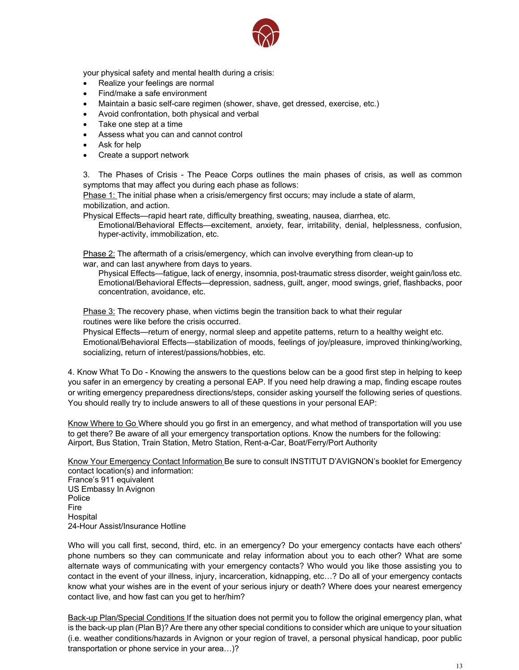

your physical safety and mental health during a crisis:

- Realize your feelings are normal
- Find/make a safe environment
- Maintain a basic self-care regimen (shower, shave, get dressed, exercise, etc.)
- Avoid confrontation, both physical and verbal
- Take one step at a time
- Assess what you can and cannot control
- Ask for help
- Create a support network

3. The Phases of Crisis - The Peace Corps outlines the main phases of crisis, as well as common symptoms that may affect you during each phase as follows:

**Phase 1:** The initial phase when a crisis/emergency first occurs; may include a state of alarm, mobilization, and action.

Physical Effects—rapid heart rate, difficulty breathing, sweating, nausea, diarrhea, etc.

Emotional/Behavioral Effects—excitement, anxiety, fear, irritability, denial, helplessness, confusion, hyper-activity, immobilization, etc.

Phase 2: The aftermath of a crisis/emergency, which can involve everything from clean-up to war, and can last anywhere from days to years.

Physical Effects—fatigue, lack of energy, insomnia, post-traumatic stress disorder, weight gain/loss etc. Emotional/Behavioral Effects—depression, sadness, guilt, anger, mood swings, grief, flashbacks, poor concentration, avoidance, etc.

 $W_{\rm eff}$  reproducing the logotype for print on colored  $\mu$ Phase 3: The recovery phase, when victims begin the transition back to what their regular routines were like before the crisis occurred.

Physical Effects—return of energy, normal sleep and appetite patterns, return to a healthy weight etc. Emotional/Behavioral Effects—stabilization of moods, feelings of joy/pleasure, improved thinking/working,<br>contalizing activity of interesting states (lighting at socializing, return of interest/passions/hobbies, etc.

or writing emergency preparedness directions/steps, consider asking yourself the following series of questions. 4. Know What To Do - Knowing the answers to the questions below can be a good first step in helping to keep you safer in an emergency by creating a personal EAP. If you need help drawing a map, finding escape routes You should really try to include answers to all of these questions in your personal EAP:

Know Where to Go Where should you go first in an emergency, and what method of transportation will you use to get there? Be aware of all your emergency transportation options. Know the numbers for the following: Airport, Bus Station, Train Station, Metro Station, Rent-a-Car, Boat/Ferry/Port Authority

Know Your Emergency Contact Information Be sure to consult INSTITUT D'AVIGNON's booklet for Emergency contact location(s) and information: France's 911 equivalent

US Embassy In Avignon Police Fire Hospital 24-Hour Assist/Insurance Hotline

Who will you call first, second, third, etc. in an emergency? Do your emergency contacts have each others' phone numbers so they can communicate and relay information about you to each other? What are some alternate ways of communicating with your emergency contacts? Who would you like those assisting you to contact in the event of your illness, injury, incarceration, kidnapping, etc…? Do all of your emergency contacts know what your wishes are in the event of your serious injury or death? Where does your nearest emergency contact live, and how fast can you get to her/him?

Back-up Plan/Special Conditions If the situation does not permit you to follow the original emergency plan, what is the back-up plan (Plan B)? Are there any other special conditions to consider which are unique to your situation (i.e. weather conditions/hazards in Avignon or your region of travel, a personal physical handicap, poor public transportation or phone service in your area…)?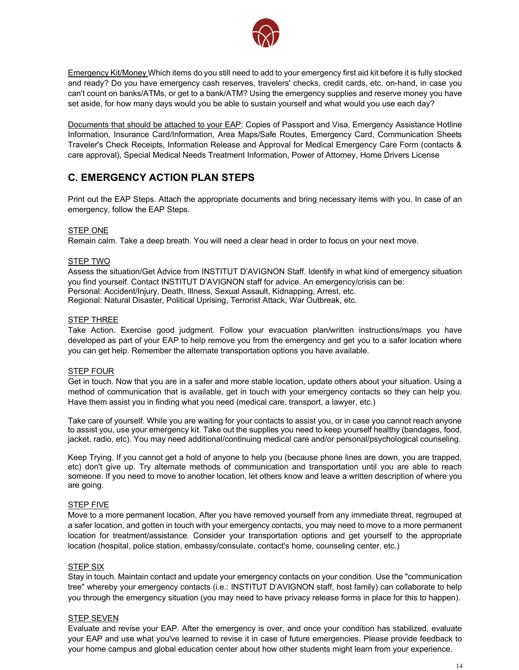

Emergency Kit/Money Which items do you still need to add to your emergency first aid kit before it is fully stocked and ready? Do you have emergency cash reserves, travelers' checks, credit cards, etc. on-hand, in case you can't count on banks/ATMs, or get to a bank/ATM? Using the emergency supplies and reserve money you have set aside, for how many days would you be able to sustain yourself and what would you use each day?

Documents that should be attached to your EAP: Copies of Passport and Visa, Emergency Assistance Hotline Information, Insurance Card/Information, Area Maps/Safe Routes, Emergency Card, Communication Sheets Traveler's Check Receipts, Information Release and Approval for Medical Emergency Care Form (contacts & care approval), Special Medical Needs Treatment Information, Power of Attorney, Home Drivers License

# **Logotype in Red C. EMERGENCY ACTION PLAN STEPS**

Print out the EAP Steps. Attach the appropriate documents and bring necessary items with you. In case of an emergency, follow the EAP Steps.

#### STEP ONE

Remain calm. Take a deep breath. You will need a clear head in order to focus on your next move.

#### STEP TWO

Assess the situation/Get Advice from INSTITUT D'AVIGNON Staff. Identify in what kind of emergency situation you find yourself. Contact INSTITUT D'AVIGNON staff for advice. An emergency/crisis can be: Personal: Accident/Injury, Death, Illness, Sexual Assault, Kidnapping, Arrest, etc. Regional: Natural Disaster, Political Uprising, Terrorist Attack, War Outbreak, etc.

#### **STEP THREE**

 $W_{\rm eff}$  reproducing the logotype for print on colored the logotype for print on colored the logotype for print on colored the logotype for  $\mu$ Take Action. Exercise good judgment. Follow your evacuation plan/written instructions/maps you have acceptod as part or your End to help remove you helm and emorgency and get you to a carefuse<br>you can get help. Remember the alternate transportation options you have available. developed as part of your EAP to help remove you from the emergency and get you to a safer location where

#### STEP FOUR

method of communication that is available, get in touch with your emergency contacts so they can help you. Get in touch. Now that you are in a safer and more stable location, update others about your situation. Using a Have them assist you in finding what you need (medical care, transport, a lawyer, etc.)

Take care of yourself. While you are waiting for your contacts to assist you, or in case you cannot reach anyone to assist you, use your emergency kit. Take out the supplies you need to keep yourself healthy (bandages, food, jacket, radio, etc). You may need additional/continuing medical care and/or personal/psychological counseling.

Keep Trying. If you cannot get a hold of anyone to help you (because phone lines are down, you are trapped, etc) don't give up. Try alternate methods of communication and transportation until you are able to reach someone. If you need to move to another location, let others know and leave a written description of where you are going.

#### STEP FIVE

Move to a more permanent location. After you have removed yourself from any immediate threat, regrouped at a safer location, and gotten in touch with your emergency contacts, you may need to move to a more permanent location for treatment/assistance. Consider your transportation options and get yourself to the appropriate location (hospital, police station, embassy/consulate, contact's home, counseling center, etc.)

#### STEP SIX

Stay in touch. Maintain contact and update your emergency contacts on your condition. Use the "communication tree" whereby your emergency contacts (i.e.: INSTITUT D'AVIGNON staff, host family) can collaborate to help you through the emergency situation (you may need to have privacy release forms in place for this to happen).

#### STEP SEVEN

Evaluate and revise your EAP. After the emergency is over, and once your condition has stabilized, evaluate your EAP and use what you've learned to revise it in case of future emergencies. Please provide feedback to your home campus and global education center about how other students might learn from your experience.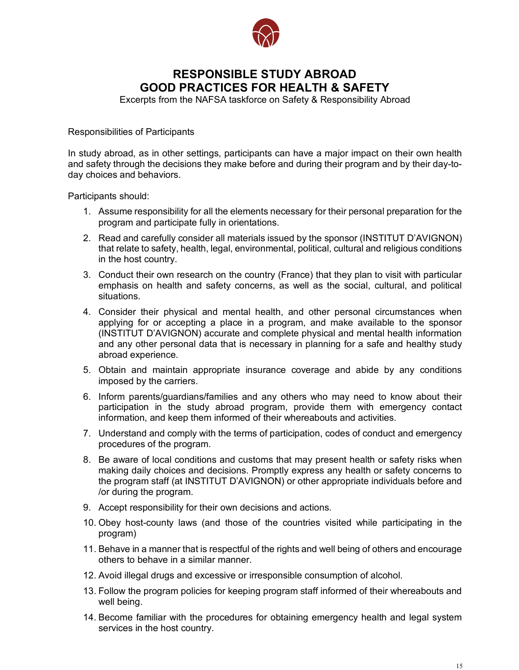

# **RESPONSIBLE STUDY ABROAD GOOD PRACTICES FOR HEALTH & SAFETY**

Excerpts from the NAFSA taskforce on Safety & Responsibility Abroad

## Responsibilities of Participants

and safety through the decisions they make before and during their program and by their day-to-<br>day choices and behaviors. In study abroad, as in other settings, participants can have a major impact on their own health day choices and behaviors.

Participants should:

- 1. Assume responsibility for all the elements necessary for their personal preparation for the program and participate fully in orientations.
- 2. Read and carefully consider all materials issued by the sponsor (INSTITUT D'AVIGNON) that relate to safety, health, legal, environmental, political, cultural and religious conditions in the host country.
- 3. Conduct their own research on the country (France) that they plan to visit with particular emphasis on health and safety concerns, as well as the social, cultural, and political situations.
- applying for or accepting a place in a program, and make available to the sponsor (INSTITUT D'AVIGNON) accurate and complete physical and mental health information and any other personal data that is necessary in planning for a safe and healthy study 4. Consider their physical and mental health, and other personal circumstances when abroad experience.
- 5. Obtain and maintain appropriate insurance coverage and abide by any conditions imposed by the carriers.
- 6. Inform parents/guardians/families and any others who may need to know about their participation in the study abroad program, provide them with emergency contact information, and keep them informed of their whereabouts and activities.
- 7. Understand and comply with the terms of participation, codes of conduct and emergency procedures of the program.
- 8. Be aware of local conditions and customs that may present health or safety risks when making daily choices and decisions. Promptly express any health or safety concerns to the program staff (at INSTITUT D'AVIGNON) or other appropriate individuals before and /or during the program.
- 9. Accept responsibility for their own decisions and actions.
- 10. Obey host-county laws (and those of the countries visited while participating in the program)
- 11. Behave in a manner that is respectful of the rights and well being of others and encourage others to behave in a similar manner.
- 12. Avoid illegal drugs and excessive or irresponsible consumption of alcohol.
- 13. Follow the program policies for keeping program staff informed of their whereabouts and well being.
- 14. Become familiar with the procedures for obtaining emergency health and legal system services in the host country.